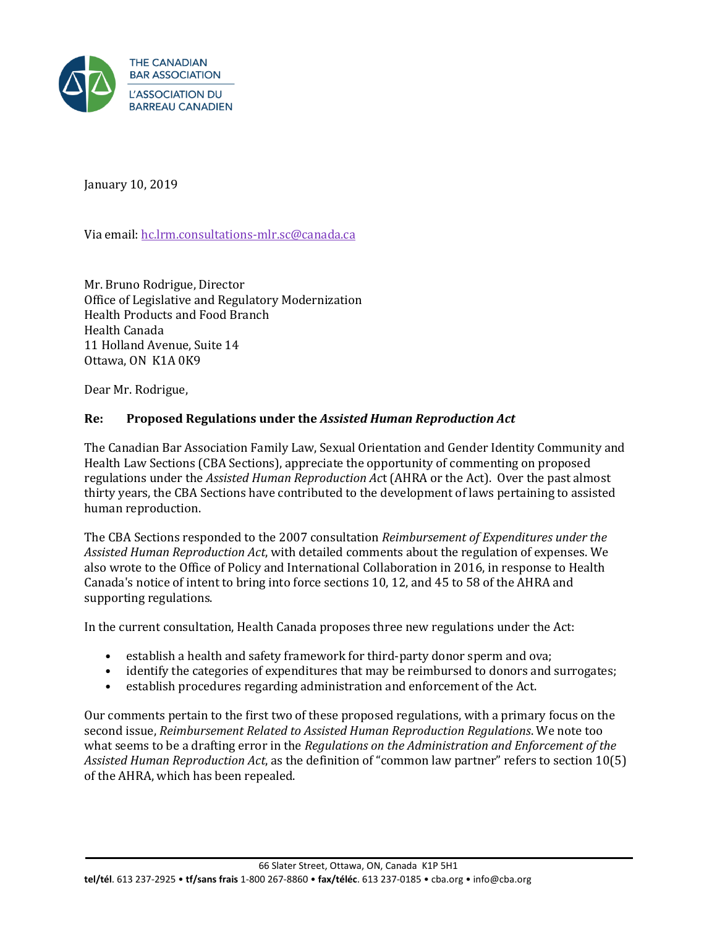

January 10, 2019

Via email[: hc.lrm.consultations-mlr.sc@canada.ca](mailto:hc.lrm.consultations-mlr.sc@canada.ca)

Mr. Bruno Rodrigue, Director Office of Legislative and Regulatory Modernization Health Products and Food Branch Health Canada 11 Holland Avenue, Suite 14 Ottawa, ON K1A 0K9

Dear Mr. Rodrigue,

### **Re: Proposed Regulations under the** *Assisted Human Reproduction Act*

The Canadian Bar Association Family Law, Sexual Orientation and Gender Identity Community and Health Law Sections (CBA Sections), appreciate the opportunity of commenting on proposed regulations under the *Assisted Human Reproduction Ac*t (AHRA or the Act). Over the past almost thirty years, the CBA Sections have contributed to the development of laws pertaining to assisted human reproduction.

The CBA Sections responded to the 2007 consultation *Reimbursement of Expenditures under the Assisted Human Reproduction Act*, with detailed comments about the regulation of expenses. We also wrote to the Office of Policy and International Collaboration in 2016, in response to Health Canada's notice of intent to bring into force sections 10, 12, and 45 to 58 of the AHRA and supporting regulations.

In the current consultation, Health Canada proposes three new regulations under the Act:

- establish a health and safety framework for third-party donor sperm and ova;
- identify the categories of expenditures that may be reimbursed to donors and surrogates;
- establish procedures regarding administration and enforcement of the Act.

Our comments pertain to the first two of these proposed regulations, with a primary focus on the second issue, *Reimbursement Related to Assisted Human Reproduction Regulations*. We note too what seems to be a drafting error in the *Regulations on the Administration and Enforcement of the Assisted Human Reproduction Act*, as the definition of "common law partner" refers to section 10(5) of the AHRA, which has been repealed.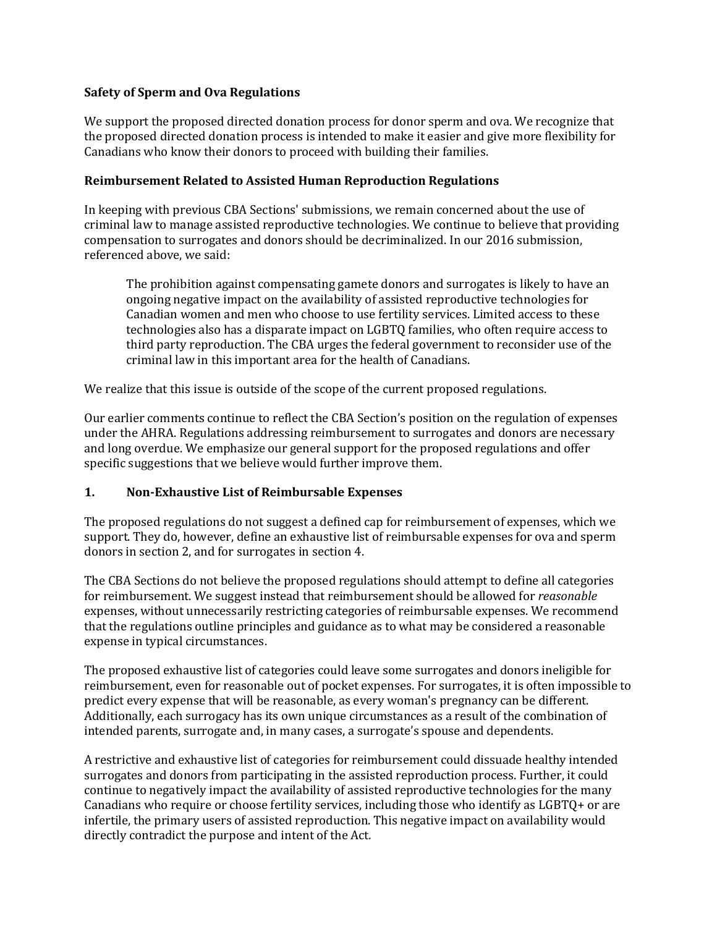#### **Safety of Sperm and Ova Regulations**

We support the proposed directed donation process for donor sperm and ova. We recognize that the proposed directed donation process is intended to make it easier and give more flexibility for Canadians who know their donors to proceed with building their families.

#### **Reimbursement Related to Assisted Human Reproduction Regulations**

In keeping with previous CBA Sections' submissions, we remain concerned about the use of criminal law to manage assisted reproductive technologies. We continue to believe that providing compensation to surrogates and donors should be decriminalized. In our 2016 submission, referenced above, we said:

The prohibition against compensating gamete donors and surrogates is likely to have an ongoing negative impact on the availability of assisted reproductive technologies for Canadian women and men who choose to use fertility services. Limited access to these technologies also has a disparate impact on LGBTQ families, who often require access to third party reproduction. The CBA urges the federal government to reconsider use of the criminal law in this important area for the health of Canadians.

We realize that this issue is outside of the scope of the current proposed regulations.

Our earlier comments continue to reflect the CBA Section's position on the regulation of expenses under the AHRA. Regulations addressing reimbursement to surrogates and donors are necessary and long overdue. We emphasize our general support for the proposed regulations and offer specific suggestions that we believe would further improve them.

### **1. Non-Exhaustive List of Reimbursable Expenses**

The proposed regulations do not suggest a defined cap for reimbursement of expenses, which we support. They do, however, define an exhaustive list of reimbursable expenses for ova and sperm donors in section 2, and for surrogates in section 4.

The CBA Sections do not believe the proposed regulations should attempt to define all categories for reimbursement. We suggest instead that reimbursement should be allowed for *reasonable* expenses, without unnecessarily restricting categories of reimbursable expenses. We recommend that the regulations outline principles and guidance as to what may be considered a reasonable expense in typical circumstances.

The proposed exhaustive list of categories could leave some surrogates and donors ineligible for reimbursement, even for reasonable out of pocket expenses. For surrogates, it is often impossible to predict every expense that will be reasonable, as every woman's pregnancy can be different. Additionally, each surrogacy has its own unique circumstances as a result of the combination of intended parents, surrogate and, in many cases, a surrogate's spouse and dependents.

A restrictive and exhaustive list of categories for reimbursement could dissuade healthy intended surrogates and donors from participating in the assisted reproduction process. Further, it could continue to negatively impact the availability of assisted reproductive technologies for the many Canadians who require or choose fertility services, including those who identify as LGBTQ+ or are infertile, the primary users of assisted reproduction. This negative impact on availability would directly contradict the purpose and intent of the Act*.*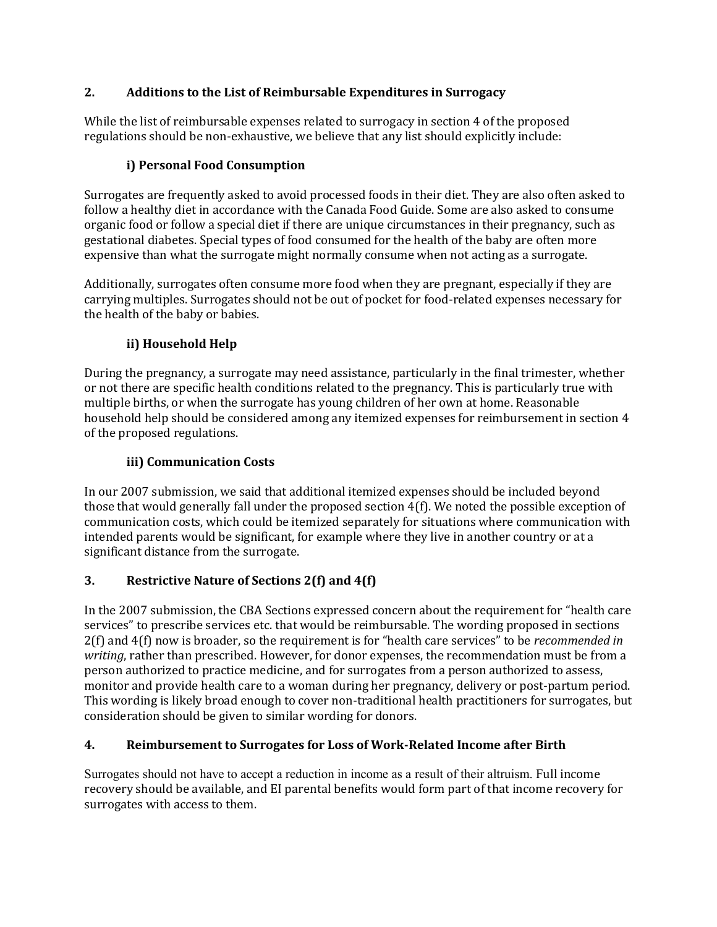# **2. Additions to the List of Reimbursable Expenditures in Surrogacy**

While the list of reimbursable expenses related to surrogacy in section 4 of the proposed regulations should be non-exhaustive, we believe that any list should explicitly include:

## **i) Personal Food Consumption**

Surrogates are frequently asked to avoid processed foods in their diet. They are also often asked to follow a healthy diet in accordance with the Canada Food Guide. Some are also asked to consume organic food or follow a special diet if there are unique circumstances in their pregnancy, such as gestational diabetes. Special types of food consumed for the health of the baby are often more expensive than what the surrogate might normally consume when not acting as a surrogate.

Additionally, surrogates often consume more food when they are pregnant, especially if they are carrying multiples. Surrogates should not be out of pocket for food-related expenses necessary for the health of the baby or babies.

### **ii) Household Help**

During the pregnancy, a surrogate may need assistance, particularly in the final trimester, whether or not there are specific health conditions related to the pregnancy. This is particularly true with multiple births, or when the surrogate has young children of her own at home. Reasonable household help should be considered among any itemized expenses for reimbursement in section 4 of the proposed regulations.

### **iii) Communication Costs**

In our 2007 submission, we said that additional itemized expenses should be included beyond those that would generally fall under the proposed section 4(f). We noted the possible exception of communication costs, which could be itemized separately for situations where communication with intended parents would be significant, for example where they live in another country or at a significant distance from the surrogate.

### **3. Restrictive Nature of Sections 2(f) and 4(f)**

In the 2007 submission, the CBA Sections expressed concern about the requirement for "health care services" to prescribe services etc. that would be reimbursable. The wording proposed in sections 2(f) and 4(f) now is broader, so the requirement is for "health care services" to be *recommended in writing*, rather than prescribed. However, for donor expenses, the recommendation must be from a person authorized to practice medicine, and for surrogates from a person authorized to assess, monitor and provide health care to a woman during her pregnancy, delivery or post-partum period. This wording is likely broad enough to cover non-traditional health practitioners for surrogates, but consideration should be given to similar wording for donors.

### **4. Reimbursement to Surrogates for Loss of Work-Related Income after Birth**

Surrogates should not have to accept a reduction in income as a result of their altruism. Full income recovery should be available, and EI parental benefits would form part of that income recovery for surrogates with access to them.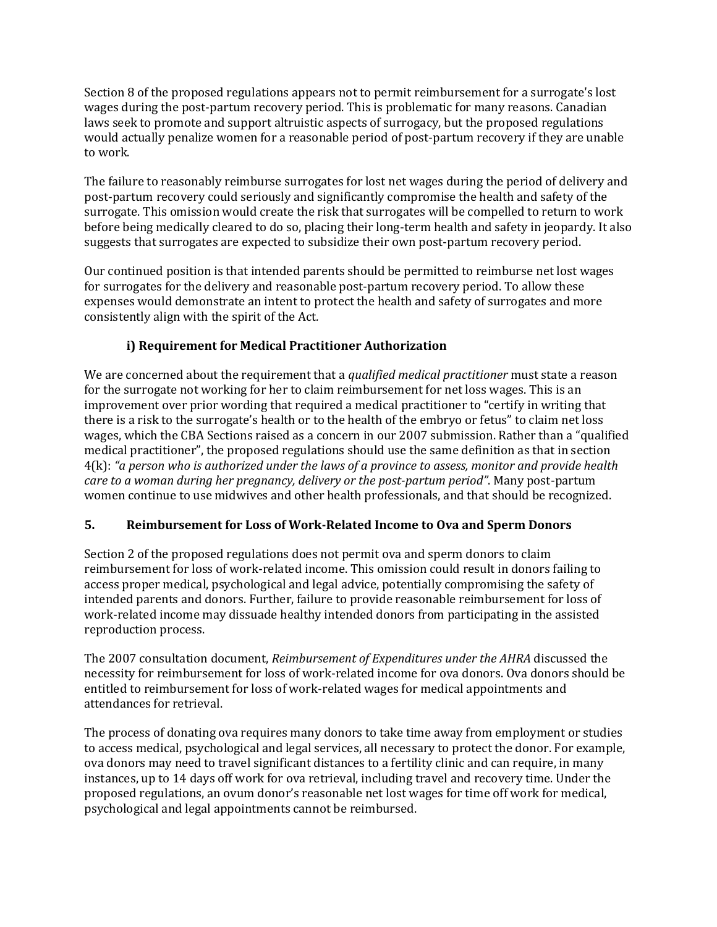Section 8 of the proposed regulations appears not to permit reimbursement for a surrogate's lost wages during the post-partum recovery period. This is problematic for many reasons. Canadian laws seek to promote and support altruistic aspects of surrogacy, but the proposed regulations would actually penalize women for a reasonable period of post-partum recovery if they are unable to work.

The failure to reasonably reimburse surrogates for lost net wages during the period of delivery and post-partum recovery could seriously and significantly compromise the health and safety of the surrogate. This omission would create the risk that surrogates will be compelled to return to work before being medically cleared to do so, placing their long-term health and safety in jeopardy. It also suggests that surrogates are expected to subsidize their own post-partum recovery period.

Our continued position is that intended parents should be permitted to reimburse net lost wages for surrogates for the delivery and reasonable post-partum recovery period. To allow these expenses would demonstrate an intent to protect the health and safety of surrogates and more consistently align with the spirit of the Act*.* 

# **i) Requirement for Medical Practitioner Authorization**

We are concerned about the requirement that a *qualified medical practitioner* must state a reason for the surrogate not working for her to claim reimbursement for net loss wages. This is an improvement over prior wording that required a medical practitioner to "certify in writing that there is a risk to the surrogate's health or to the health of the embryo or fetus" to claim net loss wages, which the CBA Sections raised as a concern in our 2007 submission. Rather than a "qualified medical practitioner", the proposed regulations should use the same definition as that in section 4(k): *"a person who is authorized under the laws of a province to assess, monitor and provide health care to a woman during her pregnancy, delivery or the post-partum period"*. Many post-partum women continue to use midwives and other health professionals, and that should be recognized.

# **5. Reimbursement for Loss of Work-Related Income to Ova and Sperm Donors**

Section 2 of the proposed regulations does not permit ova and sperm donors to claim reimbursement for loss of work-related income. This omission could result in donors failing to access proper medical, psychological and legal advice, potentially compromising the safety of intended parents and donors. Further, failure to provide reasonable reimbursement for loss of work-related income may dissuade healthy intended donors from participating in the assisted reproduction process.

The 2007 consultation document, *Reimbursement of Expenditures under the AHRA* discussed the necessity for reimbursement for loss of work-related income for ova donors. Ova donors should be entitled to reimbursement for loss of work-related wages for medical appointments and attendances for retrieval.

The process of donating ova requires many donors to take time away from employment or studies to access medical, psychological and legal services, all necessary to protect the donor. For example, ova donors may need to travel significant distances to a fertility clinic and can require, in many instances, up to 14 days off work for ova retrieval, including travel and recovery time. Under the proposed regulations, an ovum donor's reasonable net lost wages for time off work for medical, psychological and legal appointments cannot be reimbursed.